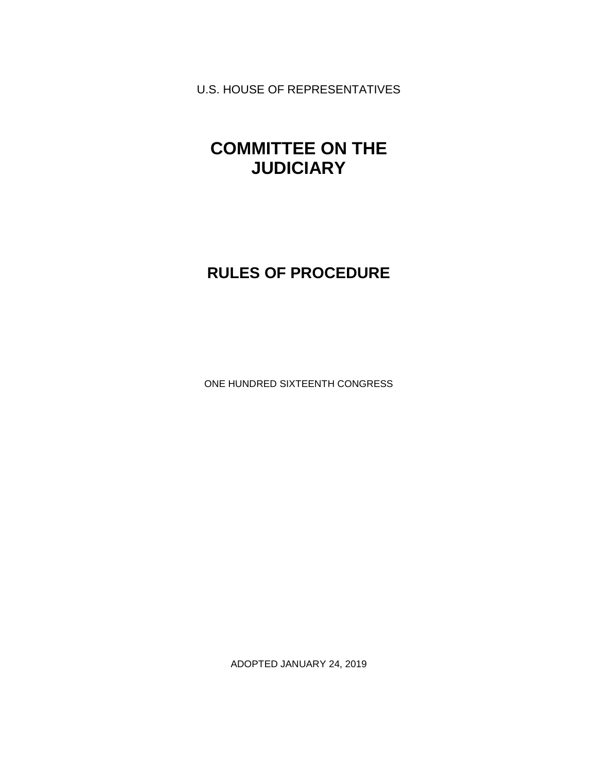U.S. HOUSE OF REPRESENTATIVES

# **COMMITTEE ON THE JUDICIARY**

# **RULES OF PROCEDURE**

ONE HUNDRED SIXTEENTH CONGRESS

ADOPTED JANUARY 24, 2019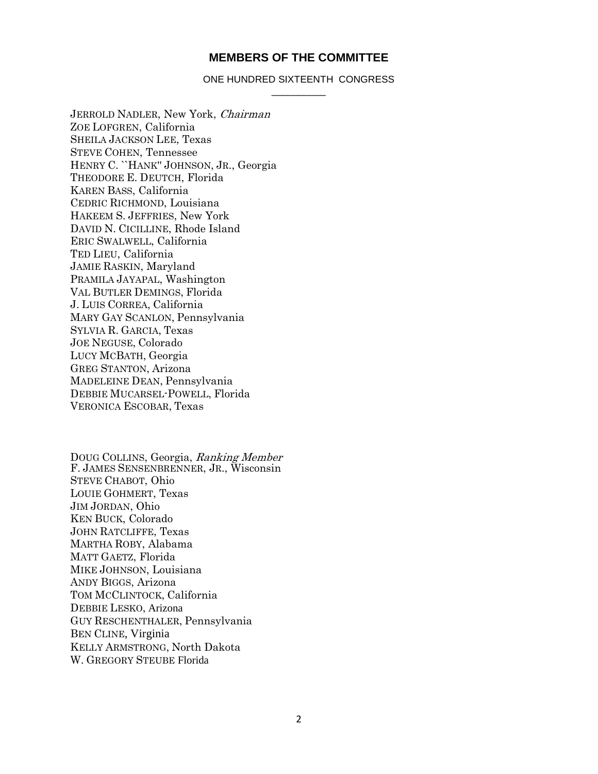### **MEMBERS OF THE COMMITTEE**

#### ONE HUNDRED SIXTEENTH CONGRESS \_\_\_\_\_\_\_\_\_\_

JERROLD NADLER, New York, Chairman ZOE LOFGREN, California SHEILA JACKSON LEE, Texas STEVE COHEN, Tennessee HENRY C. ``HANK'' JOHNSON, JR., Georgia THEODORE E. DEUTCH, Florida KAREN BASS, California CEDRIC RICHMOND, Louisiana HAKEEM S. JEFFRIES, New York DAVID N. CICILLINE, Rhode Island ERIC SWALWELL, California TED LIEU, California JAMIE RASKIN, Maryland PRAMILA JAYAPAL, Washington VAL BUTLER DEMINGS, Florida J. LUIS CORREA, California MARY GAY SCANLON, Pennsylvania SYLVIA R. GARCIA, Texas JOE NEGUSE, Colorado LUCY MCBATH, Georgia GREG STANTON, Arizona MADELEINE DEAN, Pennsylvania DEBBIE MUCARSEL-POWELL, Florida VERONICA ESCOBAR, Texas

DOUG COLLINS, Georgia, Ranking Member F. JAMES SENSENBRENNER, JR., Wisconsin STEVE CHABOT, Ohio LOUIE GOHMERT, Texas JIM JORDAN, Ohio KEN BUCK, Colorado JOHN RATCLIFFE, Texas MARTHA ROBY, Alabama MATT GAETZ, Florida MIKE JOHNSON, Louisiana ANDY BIGGS, Arizona TOM MCCLINTOCK, California DEBBIE LESKO, Arizona GUY RESCHENTHALER, Pennsylvania BEN CLINE, Virginia KELLY ARMSTRONG, North Dakota W. GREGORY STEUBE Florida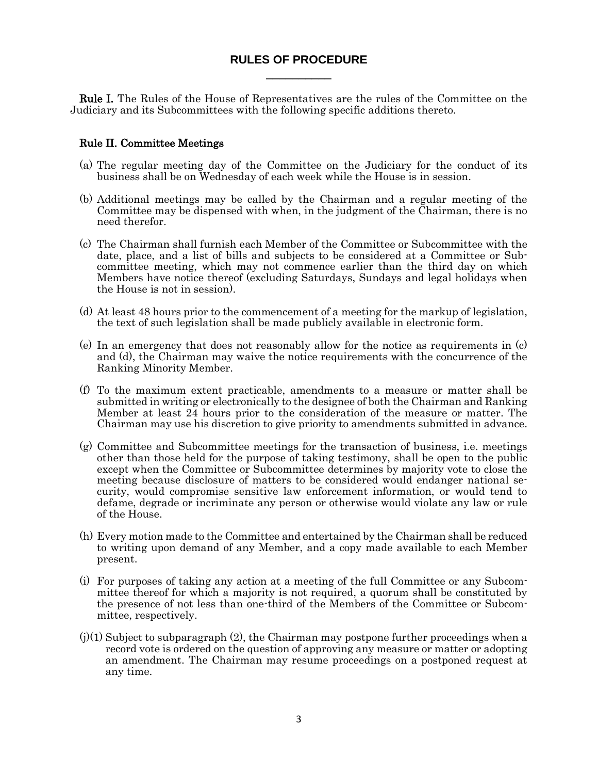## **RULES OF PROCEDURE** \_\_\_\_\_\_\_\_\_\_

Rule I. The Rules of the House of Representatives are the rules of the Committee on the Judiciary and its Subcommittees with the following specific additions thereto.

## Rule II. Committee Meetings

- (a) The regular meeting day of the Committee on the Judiciary for the conduct of its business shall be on Wednesday of each week while the House is in session.
- (b) Additional meetings may be called by the Chairman and a regular meeting of the Committee may be dispensed with when, in the judgment of the Chairman, there is no need therefor.
- (c) The Chairman shall furnish each Member of the Committee or Subcommittee with the date, place, and a list of bills and subjects to be considered at a Committee or Subcommittee meeting, which may not commence earlier than the third day on which Members have notice thereof (excluding Saturdays, Sundays and legal holidays when the House is not in session).
- (d) At least 48 hours prior to the commencement of a meeting for the markup of legislation, the text of such legislation shall be made publicly available in electronic form.
- (e) In an emergency that does not reasonably allow for the notice as requirements in (c) and (d), the Chairman may waive the notice requirements with the concurrence of the Ranking Minority Member.
- (f) To the maximum extent practicable, amendments to a measure or matter shall be submitted in writing or electronically to the designee of both the Chairman and Ranking Member at least 24 hours prior to the consideration of the measure or matter. The Chairman may use his discretion to give priority to amendments submitted in advance.
- (g) Committee and Subcommittee meetings for the transaction of business, i.e. meetings other than those held for the purpose of taking testimony, shall be open to the public except when the Committee or Subcommittee determines by majority vote to close the meeting because disclosure of matters to be considered would endanger national security, would compromise sensitive law enforcement information, or would tend to defame, degrade or incriminate any person or otherwise would violate any law or rule of the House.
- (h) Every motion made to the Committee and entertained by the Chairman shall be reduced to writing upon demand of any Member, and a copy made available to each Member present.
- (i) For purposes of taking any action at a meeting of the full Committee or any Subcommittee thereof for which a majority is not required, a quorum shall be constituted by the presence of not less than one-third of the Members of the Committee or Subcommittee, respectively.
- $(j)(1)$  Subject to subparagraph  $(2)$ , the Chairman may postpone further proceedings when a record vote is ordered on the question of approving any measure or matter or adopting an amendment. The Chairman may resume proceedings on a postponed request at any time.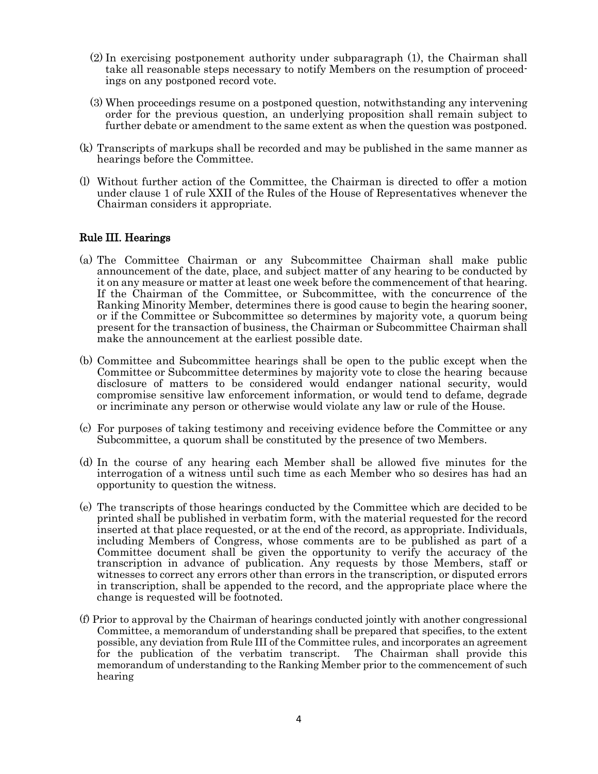- $(2)$  In exercising postponement authority under subparagraph  $(1)$ , the Chairman shall take all reasonable steps necessary to notify Members on the resumption of proceedings on any postponed record vote.
- (j)(3) When proceedings resume on a postponed question, notwithstanding any intervening order for the previous question, an underlying proposition shall remain subject to further debate or amendment to the same extent as when the question was postponed.
- (k) Transcripts of markups shall be recorded and may be published in the same manner as hearings before the Committee.
- (l) Without further action of the Committee, the Chairman is directed to offer a motion under clause 1 of rule XXII of the Rules of the House of Representatives whenever the Chairman considers it appropriate.

## Rule III. Hearings

- (a) The Committee Chairman or any Subcommittee Chairman shall make public announcement of the date, place, and subject matter of any hearing to be conducted by it on any measure or matter at least one week before the commencement of that hearing. If the Chairman of the Committee, or Subcommittee, with the concurrence of the Ranking Minority Member, determines there is good cause to begin the hearing sooner, or if the Committee or Subcommittee so determines by majority vote, a quorum being present for the transaction of business, the Chairman or Subcommittee Chairman shall make the announcement at the earliest possible date.
- (b) Committee and Subcommittee hearings shall be open to the public except when the Committee or Subcommittee determines by majority vote to close the hearing because disclosure of matters to be considered would endanger national security, would compromise sensitive law enforcement information, or would tend to defame, degrade or incriminate any person or otherwise would violate any law or rule of the House.
- (c) For purposes of taking testimony and receiving evidence before the Committee or any Subcommittee, a quorum shall be constituted by the presence of two Members.
- (d) In the course of any hearing each Member shall be allowed five minutes for the interrogation of a witness until such time as each Member who so desires has had an opportunity to question the witness.
- (e) The transcripts of those hearings conducted by the Committee which are decided to be printed shall be published in verbatim form, with the material requested for the record inserted at that place requested, or at the end of the record, as appropriate. Individuals, including Members of Congress, whose comments are to be published as part of a Committee document shall be given the opportunity to verify the accuracy of the transcription in advance of publication. Any requests by those Members, staff or witnesses to correct any errors other than errors in the transcription, or disputed errors in transcription, shall be appended to the record, and the appropriate place where the change is requested will be footnoted.
- (f) Prior to approval by the Chairman of hearings conducted jointly with another congressional Committee, a memorandum of understanding shall be prepared that specifies, to the extent possible, any deviation from Rule III of the Committee rules, and incorporates an agreement for the publication of the verbatim transcript. memorandum of understanding to the Ranking Member prior to the commencement of such hearing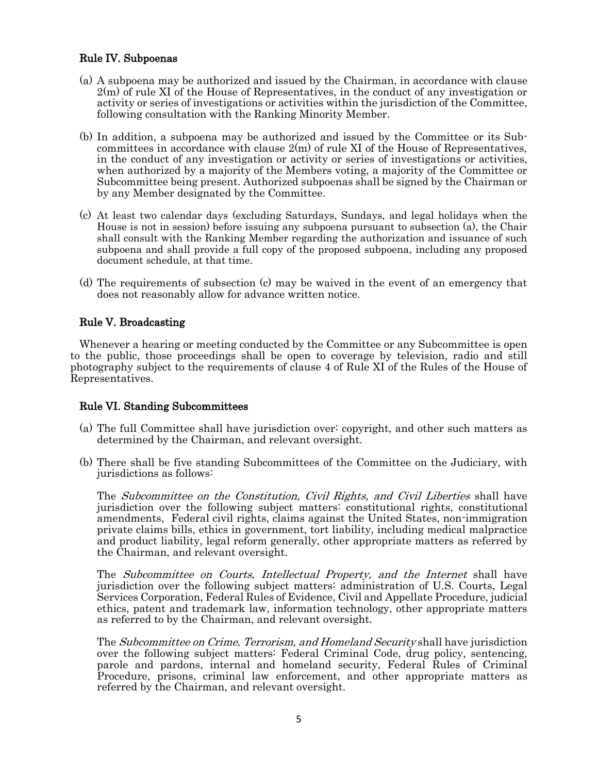# Rule IV. Subpoenas

- (a) A subpoena may be authorized and issued by the Chairman, in accordance with clause 2(m) of rule XI of the House of Representatives, in the conduct of any investigation or activity or series of investigations or activities within the jurisdiction of the Committee, following consultation with the Ranking Minority Member.
- (b) In addition, a subpoena may be authorized and issued by the Committee or its Subcommittees in accordance with clause 2(m) of rule XI of the House of Representatives, in the conduct of any investigation or activity or series of investigations or activities, when authorized by a majority of the Members voting, a majority of the Committee or Subcommittee being present. Authorized subpoenas shall be signed by the Chairman or by any Member designated by the Committee.
- (c) At least two calendar days (excluding Saturdays, Sundays, and legal holidays when the House is not in session) before issuing any subpoena pursuant to subsection (a), the Chair shall consult with the Ranking Member regarding the authorization and issuance of such subpoena and shall provide a full copy of the proposed subpoena, including any proposed document schedule, at that time.
- (d) The requirements of subsection (c) may be waived in the event of an emergency that does not reasonably allow for advance written notice.

## Rule V. Broadcasting

Whenever a hearing or meeting conducted by the Committee or any Subcommittee is open to the public, those proceedings shall be open to coverage by television, radio and still photography subject to the requirements of clause 4 of Rule XI of the Rules of the House of Representatives.

## Rule VI. Standing Subcommittees

- (a) The full Committee shall have jurisdiction over: copyright, and other such matters as determined by the Chairman, and relevant oversight.
- (b) There shall be five standing Subcommittees of the Committee on the Judiciary, with jurisdictions as follows:

The Subcommittee on the Constitution, Civil Rights, and Civil Liberties shall have jurisdiction over the following subject matters: constitutional rights, constitutional amendments, Federal civil rights, claims against the United States, non-immigration private claims bills, ethics in government, tort liability, including medical malpractice and product liability, legal reform generally, other appropriate matters as referred by the Chairman, and relevant oversight.

The Subcommittee on Courts, Intellectual Property, and the Internet shall have jurisdiction over the following subject matters: administration of U.S. Courts, Legal Services Corporation, Federal Rules of Evidence, Civil and Appellate Procedure, judicial ethics, patent and trademark law, information technology, other appropriate matters as referred to by the Chairman, and relevant oversight.

The Subcommittee on Crime, Terrorism, and Homeland Security shall have jurisdiction over the following subject matters: Federal Criminal Code, drug policy, sentencing, parole and pardons, internal and homeland security, Federal Rules of Criminal Procedure, prisons, criminal law enforcement, and other appropriate matters as referred by the Chairman, and relevant oversight.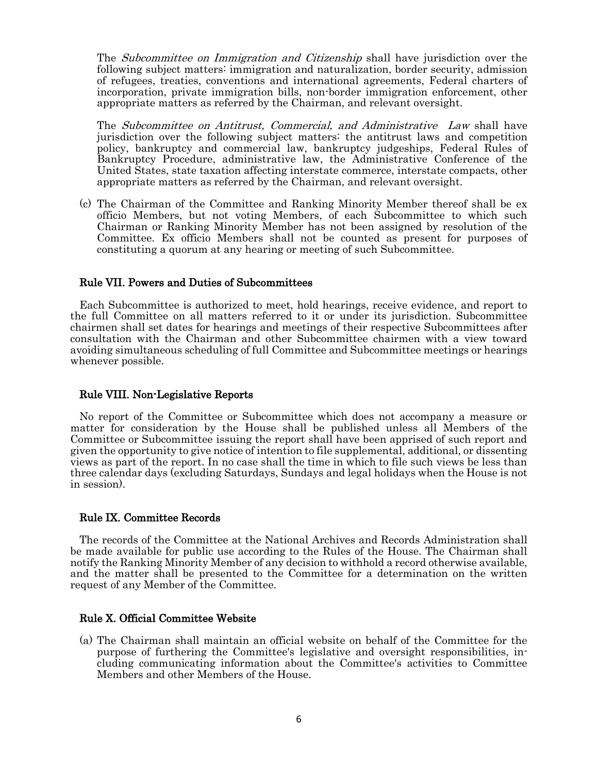The *Subcommittee on Immigration and Citizenship* shall have jurisdiction over the following subject matters: immigration and naturalization, border security, admission of refugees, treaties, conventions and international agreements, Federal charters of incorporation, private immigration bills, non-border immigration enforcement, other appropriate matters as referred by the Chairman, and relevant oversight.

The Subcommittee on Antitrust, Commercial, and Administrative Law shall have jurisdiction over the following subject matters: the antitrust laws and competition policy, bankruptcy and commercial law, bankruptcy judgeships, Federal Rules of Bankruptcy Procedure, administrative law, the Administrative Conference of the United States, state taxation affecting interstate commerce, interstate compacts, other appropriate matters as referred by the Chairman, and relevant oversight.

(c) The Chairman of the Committee and Ranking Minority Member thereof shall be ex officio Members, but not voting Members, of each Subcommittee to which such Chairman or Ranking Minority Member has not been assigned by resolution of the Committee. Ex officio Members shall not be counted as present for purposes of constituting a quorum at any hearing or meeting of such Subcommittee.

#### Rule VII. Powers and Duties of Subcommittees

Each Subcommittee is authorized to meet, hold hearings, receive evidence, and report to the full Committee on all matters referred to it or under its jurisdiction. Subcommittee chairmen shall set dates for hearings and meetings of their respective Subcommittees after consultation with the Chairman and other Subcommittee chairmen with a view toward avoiding simultaneous scheduling of full Committee and Subcommittee meetings or hearings whenever possible.

### Rule VIII. Non-Legislative Reports

No report of the Committee or Subcommittee which does not accompany a measure or matter for consideration by the House shall be published unless all Members of the Committee or Subcommittee issuing the report shall have been apprised of such report and given the opportunity to give notice of intention to file supplemental, additional, or dissenting views as part of the report. In no case shall the time in which to file such views be less than three calendar days (excluding Saturdays, Sundays and legal holidays when the House is not in session).

## Rule IX. Committee Records

The records of the Committee at the National Archives and Records Administration shall be made available for public use according to the Rules of the House. The Chairman shall notify the Ranking Minority Member of any decision to withhold a record otherwise available, and the matter shall be presented to the Committee for a determination on the written request of any Member of the Committee.

## Rule X. Official Committee Website

(a) The Chairman shall maintain an official website on behalf of the Committee for the purpose of furthering the Committee's legislative and oversight responsibilities, including communicating information about the Committee's activities to Committee Members and other Members of the House.